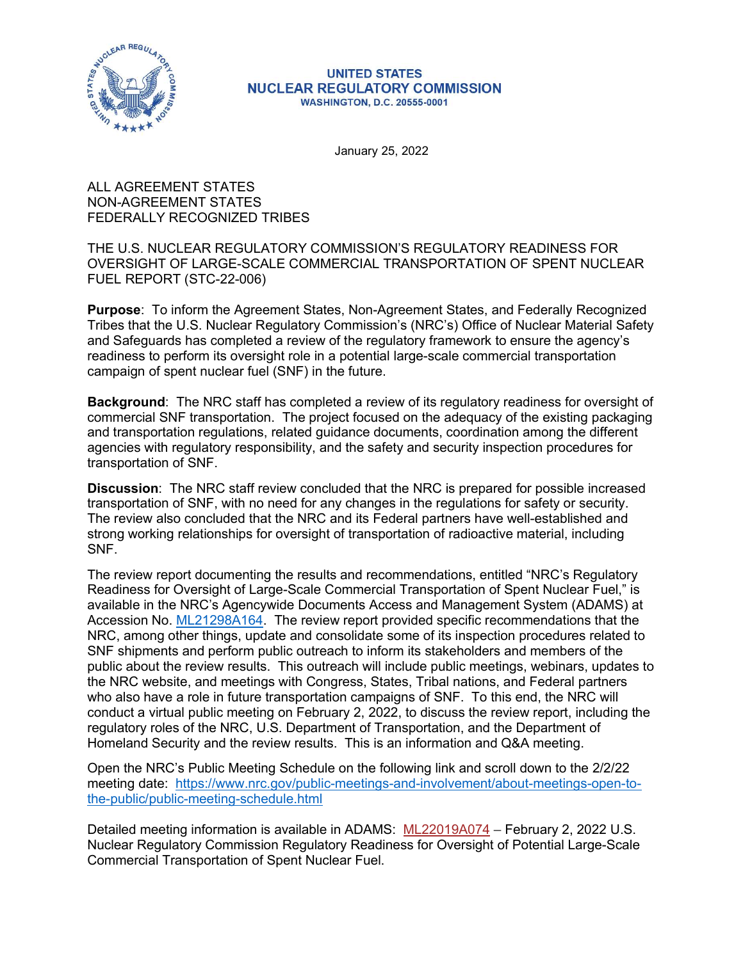

## **UNITED STATES NUCLEAR REGULATORY COMMISSION WASHINGTON, D.C. 20555-0001**

January 25, 2022

ALL AGREEMENT STATES NON-AGREEMENT STATES FEDERALLY RECOGNIZED TRIBES

THE U.S. NUCLEAR REGULATORY COMMISSION'S REGULATORY READINESS FOR OVERSIGHT OF LARGE-SCALE COMMERCIAL TRANSPORTATION OF SPENT NUCLEAR FUEL REPORT (STC-22-006)

Purpose: To inform the Agreement States, Non-Agreement States, and Federally Recognized Tribes that the U.S. Nuclear Regulatory Commission's (NRC's) Office of Nuclear Material Safety and Safeguards has completed a review of the regulatory framework to ensure the agency's readiness to perform its oversight role in a potential large-scale commercial transportation campaign of spent nuclear fuel (SNF) in the future.

Background: The NRC staff has completed a review of its regulatory readiness for oversight of commercial SNF transportation. The project focused on the adequacy of the existing packaging and transportation regulations, related guidance documents, coordination among the different agencies with regulatory responsibility, and the safety and security inspection procedures for transportation of SNF.

Discussion: The NRC staff review concluded that the NRC is prepared for possible increased transportation of SNF, with no need for any changes in the regulations for safety or security. The review also concluded that the NRC and its Federal partners have well-established and strong working relationships for oversight of transportation of radioactive material, including SNF.

The review report documenting the results and recommendations, entitled "NRC's Regulatory Readiness for Oversight of Large-Scale Commercial Transportation of Spent Nuclear Fuel," is available in the NRC's Agencywide Documents Access and Management System (ADAMS) at Accession No. ML21298A164. The review report provided specific recommendations that the NRC, among other things, update and consolidate some of its inspection procedures related to SNF shipments and perform public outreach to inform its stakeholders and members of the public about the review results. This outreach will include public meetings, webinars, updates to the NRC website, and meetings with Congress, States, Tribal nations, and Federal partners who also have a role in future transportation campaigns of SNF. To this end, the NRC will conduct a virtual public meeting on February 2, 2022, to discuss the review report, including the regulatory roles of the NRC, U.S. Department of Transportation, and the Department of Homeland Security and the review results. This is an information and Q&A meeting.

Open the NRC's Public Meeting Schedule on the following link and scroll down to the 2/2/22 meeting date: https://www.nrc.gov/public-meetings-and-involvement/about-meetings-open-tothe-public/public-meeting-schedule.html

Detailed meeting information is available in ADAMS: ML22019A074 – February 2, 2022 U.S. Nuclear Regulatory Commission Regulatory Readiness for Oversight of Potential Large-Scale Commercial Transportation of Spent Nuclear Fuel.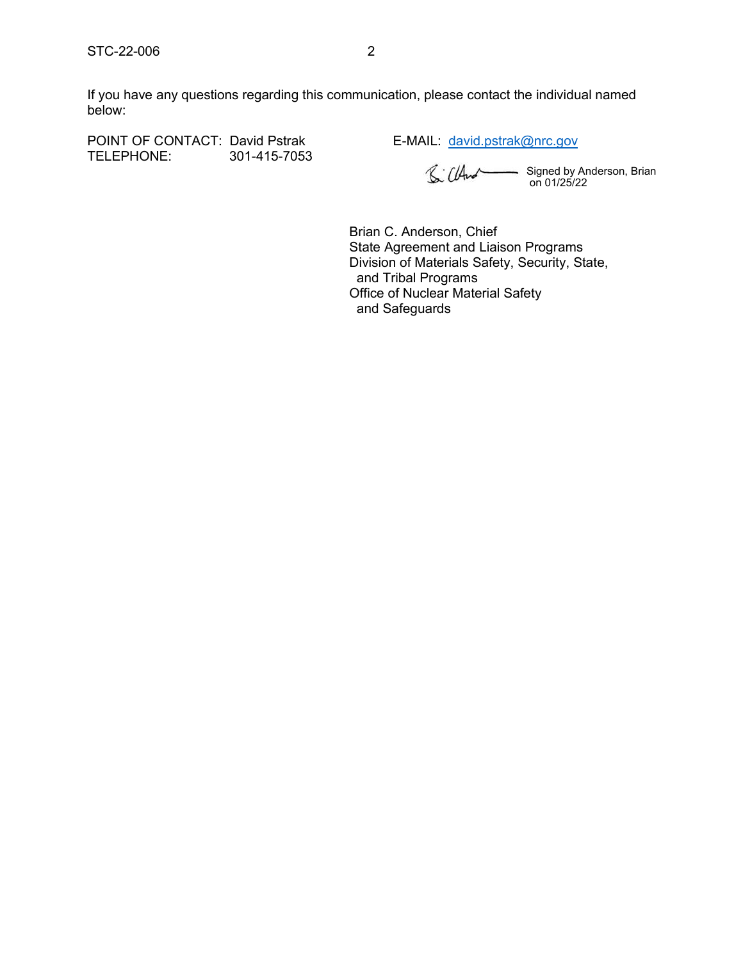STC-22-006<br>If you have any questions regarding this communication, please contact the individual named<br>below: If you have any questions regarding this communication, please contact the individual named below: STC-22-006 2<br>
If you have any questions regarding this communication, please contact the individual named<br>
below:<br>
POINT OF CONTACT: David Pstrak<br>
TELEPHONE: 301-415-7053 1. (LAM Signed by Anderson, Brian<br>
601/25/22<br>
501-4

TELEPHONE: 301-415-7053

Signed by Anderson, Brian on 01/25/22

Brian C. Anderson, Chief State Agreement and Liaison Programs Division of Materials Safety, Security, State, and Tribal Programs Office of Nuclear Material Safety and Safeguards